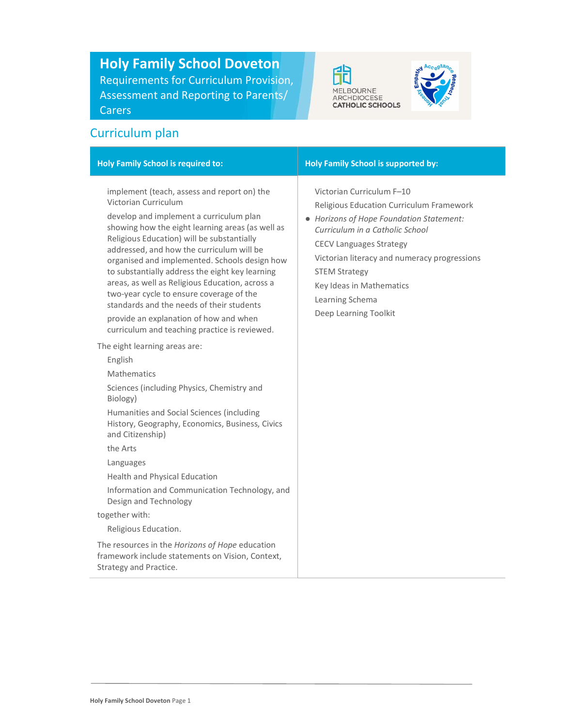Holy Family School Doveton Requirements for Curriculum Provision, Assessment and Reporting to Parents/ Carers





# Curriculum plan

| implement (teach, assess and report on) the<br>Victorian Curriculum F-10<br>Victorian Curriculum<br>Religious Education Curriculum Framework<br>develop and implement a curriculum plan<br>• Horizons of Hope Foundation Statement:<br>showing how the eight learning areas (as well as<br>Curriculum in a Catholic School<br>Religious Education) will be substantially<br><b>CECV Languages Strategy</b><br>addressed, and how the curriculum will be<br>Victorian literacy and numeracy progressions<br>organised and implemented. Schools design how<br>to substantially address the eight key learning<br><b>STEM Strategy</b><br>areas, as well as Religious Education, across a<br>Key Ideas in Mathematics<br>two-year cycle to ensure coverage of the<br>Learning Schema<br>standards and the needs of their students<br>Deep Learning Toolkit<br>provide an explanation of how and when<br>curriculum and teaching practice is reviewed.<br>The eight learning areas are:<br>English<br><b>Mathematics</b><br>Sciences (including Physics, Chemistry and<br>Biology)<br>Humanities and Social Sciences (including<br>History, Geography, Economics, Business, Civics<br>and Citizenship)<br>the Arts<br>Languages<br>Health and Physical Education<br>Information and Communication Technology, and<br>Design and Technology<br>together with:<br>Religious Education.<br>The resources in the Horizons of Hope education<br>framework include statements on Vision, Context,<br>Strategy and Practice. | <b>Holy Family School is required to:</b> | Holy Family School is supported by: |
|-------------------------------------------------------------------------------------------------------------------------------------------------------------------------------------------------------------------------------------------------------------------------------------------------------------------------------------------------------------------------------------------------------------------------------------------------------------------------------------------------------------------------------------------------------------------------------------------------------------------------------------------------------------------------------------------------------------------------------------------------------------------------------------------------------------------------------------------------------------------------------------------------------------------------------------------------------------------------------------------------------------------------------------------------------------------------------------------------------------------------------------------------------------------------------------------------------------------------------------------------------------------------------------------------------------------------------------------------------------------------------------------------------------------------------------------------------------------------------------------------------------------|-------------------------------------------|-------------------------------------|
|                                                                                                                                                                                                                                                                                                                                                                                                                                                                                                                                                                                                                                                                                                                                                                                                                                                                                                                                                                                                                                                                                                                                                                                                                                                                                                                                                                                                                                                                                                                   |                                           |                                     |
|                                                                                                                                                                                                                                                                                                                                                                                                                                                                                                                                                                                                                                                                                                                                                                                                                                                                                                                                                                                                                                                                                                                                                                                                                                                                                                                                                                                                                                                                                                                   |                                           |                                     |
|                                                                                                                                                                                                                                                                                                                                                                                                                                                                                                                                                                                                                                                                                                                                                                                                                                                                                                                                                                                                                                                                                                                                                                                                                                                                                                                                                                                                                                                                                                                   |                                           |                                     |
|                                                                                                                                                                                                                                                                                                                                                                                                                                                                                                                                                                                                                                                                                                                                                                                                                                                                                                                                                                                                                                                                                                                                                                                                                                                                                                                                                                                                                                                                                                                   |                                           |                                     |
|                                                                                                                                                                                                                                                                                                                                                                                                                                                                                                                                                                                                                                                                                                                                                                                                                                                                                                                                                                                                                                                                                                                                                                                                                                                                                                                                                                                                                                                                                                                   |                                           |                                     |
|                                                                                                                                                                                                                                                                                                                                                                                                                                                                                                                                                                                                                                                                                                                                                                                                                                                                                                                                                                                                                                                                                                                                                                                                                                                                                                                                                                                                                                                                                                                   |                                           |                                     |
|                                                                                                                                                                                                                                                                                                                                                                                                                                                                                                                                                                                                                                                                                                                                                                                                                                                                                                                                                                                                                                                                                                                                                                                                                                                                                                                                                                                                                                                                                                                   |                                           |                                     |
|                                                                                                                                                                                                                                                                                                                                                                                                                                                                                                                                                                                                                                                                                                                                                                                                                                                                                                                                                                                                                                                                                                                                                                                                                                                                                                                                                                                                                                                                                                                   |                                           |                                     |
|                                                                                                                                                                                                                                                                                                                                                                                                                                                                                                                                                                                                                                                                                                                                                                                                                                                                                                                                                                                                                                                                                                                                                                                                                                                                                                                                                                                                                                                                                                                   |                                           |                                     |
|                                                                                                                                                                                                                                                                                                                                                                                                                                                                                                                                                                                                                                                                                                                                                                                                                                                                                                                                                                                                                                                                                                                                                                                                                                                                                                                                                                                                                                                                                                                   |                                           |                                     |
|                                                                                                                                                                                                                                                                                                                                                                                                                                                                                                                                                                                                                                                                                                                                                                                                                                                                                                                                                                                                                                                                                                                                                                                                                                                                                                                                                                                                                                                                                                                   |                                           |                                     |
|                                                                                                                                                                                                                                                                                                                                                                                                                                                                                                                                                                                                                                                                                                                                                                                                                                                                                                                                                                                                                                                                                                                                                                                                                                                                                                                                                                                                                                                                                                                   |                                           |                                     |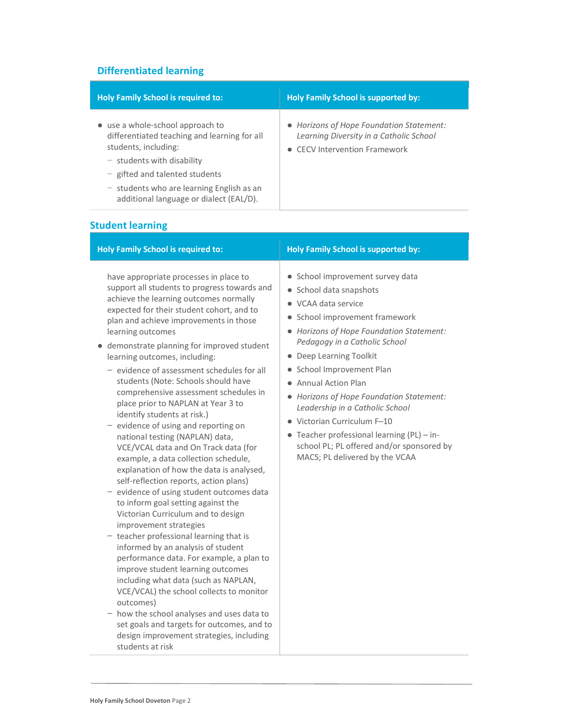## Differentiated learning

| <b>Holy Family School is required to:</b>                                                                                                                                                                                                                              | <b>Holy Family School is supported by:</b>                                                                           |
|------------------------------------------------------------------------------------------------------------------------------------------------------------------------------------------------------------------------------------------------------------------------|----------------------------------------------------------------------------------------------------------------------|
| • use a whole-school approach to<br>differentiated teaching and learning for all<br>students, including:<br>$-$ students with disability<br>$-$ gifted and talented students<br>$-$ students who are learning English as an<br>additional language or dialect (EAL/D). | • Horizons of Hope Foundation Statement:<br>Learning Diversity in a Catholic School<br>• CECV Intervention Framework |

# Student learning

| <b>Holy Family School is required to:</b>                                                                                                                                                                                                                                                                                                                                                                                                                                                                                                                                                                                                                                                                                                                                                                                                                                                                                                                                                                                                                                                                                                                                                                                                                                                                                                        | <b>Holy Family School is supported by:</b>                                                                                                                                                                                                                                                                                                                                                                                                                                                                                             |
|--------------------------------------------------------------------------------------------------------------------------------------------------------------------------------------------------------------------------------------------------------------------------------------------------------------------------------------------------------------------------------------------------------------------------------------------------------------------------------------------------------------------------------------------------------------------------------------------------------------------------------------------------------------------------------------------------------------------------------------------------------------------------------------------------------------------------------------------------------------------------------------------------------------------------------------------------------------------------------------------------------------------------------------------------------------------------------------------------------------------------------------------------------------------------------------------------------------------------------------------------------------------------------------------------------------------------------------------------|----------------------------------------------------------------------------------------------------------------------------------------------------------------------------------------------------------------------------------------------------------------------------------------------------------------------------------------------------------------------------------------------------------------------------------------------------------------------------------------------------------------------------------------|
| have appropriate processes in place to<br>support all students to progress towards and<br>achieve the learning outcomes normally<br>expected for their student cohort, and to<br>plan and achieve improvements in those<br>learning outcomes<br>• demonstrate planning for improved student<br>learning outcomes, including:<br>$-$ evidence of assessment schedules for all<br>students (Note: Schools should have<br>comprehensive assessment schedules in<br>place prior to NAPLAN at Year 3 to<br>identify students at risk.)<br>- evidence of using and reporting on<br>national testing (NAPLAN) data,<br>VCE/VCAL data and On Track data (for<br>example, a data collection schedule,<br>explanation of how the data is analysed,<br>self-reflection reports, action plans)<br>- evidence of using student outcomes data<br>to inform goal setting against the<br>Victorian Curriculum and to design<br>improvement strategies<br>- teacher professional learning that is<br>informed by an analysis of student<br>performance data. For example, a plan to<br>improve student learning outcomes<br>including what data (such as NAPLAN,<br>VCE/VCAL) the school collects to monitor<br>outcomes)<br>- how the school analyses and uses data to<br>set goals and targets for outcomes, and to<br>design improvement strategies, including | • School improvement survey data<br>• School data snapshots<br>$\bullet$ VCAA data service<br>• School improvement framework<br>• Horizons of Hope Foundation Statement:<br>Pedagogy in a Catholic School<br>• Deep Learning Toolkit<br>• School Improvement Plan<br>• Annual Action Plan<br>• Horizons of Hope Foundation Statement:<br>Leadership in a Catholic School<br>• Victorian Curriculum F-10<br>• Teacher professional learning $(PL)$ - in-<br>school PL; PL offered and/or sponsored by<br>MACS; PL delivered by the VCAA |

students at risk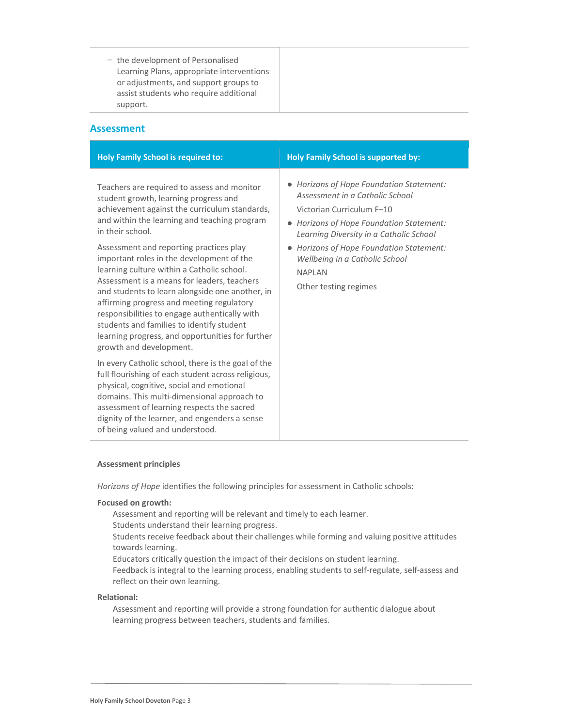− the development of Personalised Learning Plans, appropriate interventions or adjustments, and support groups to assist students who require additional support.

### Assessment

| <b>Holy Family School is required to:</b>                                                                                                                                                                                                                                                                                                                                                                                                                                                                                                                                                                                                                                   | <b>Holy Family School is supported by:</b>                                                                                                                                                                                                                                                                                         |
|-----------------------------------------------------------------------------------------------------------------------------------------------------------------------------------------------------------------------------------------------------------------------------------------------------------------------------------------------------------------------------------------------------------------------------------------------------------------------------------------------------------------------------------------------------------------------------------------------------------------------------------------------------------------------------|------------------------------------------------------------------------------------------------------------------------------------------------------------------------------------------------------------------------------------------------------------------------------------------------------------------------------------|
| Teachers are required to assess and monitor<br>student growth, learning progress and<br>achievement against the curriculum standards,<br>and within the learning and teaching program<br>in their school.<br>Assessment and reporting practices play<br>important roles in the development of the<br>learning culture within a Catholic school.<br>Assessment is a means for leaders, teachers<br>and students to learn alongside one another, in<br>affirming progress and meeting regulatory<br>responsibilities to engage authentically with<br>students and families to identify student<br>learning progress, and opportunities for further<br>growth and development. | • Horizons of Hope Foundation Statement:<br>Assessment in a Catholic School<br>Victorian Curriculum F-10<br>• Horizons of Hope Foundation Statement:<br>Learning Diversity in a Catholic School<br>Horizons of Hope Foundation Statement:<br>$\bullet$<br>Wellbeing in a Catholic School<br><b>NAPLAN</b><br>Other testing regimes |
| In every Catholic school, there is the goal of the<br>full flourishing of each student across religious,<br>physical, cognitive, social and emotional<br>domains. This multi-dimensional approach to<br>assessment of learning respects the sacred<br>dignity of the learner, and engenders a sense<br>of being valued and understood.                                                                                                                                                                                                                                                                                                                                      |                                                                                                                                                                                                                                                                                                                                    |

### Assessment principles

Horizons of Hope identifies the following principles for assessment in Catholic schools:

### Focused on growth:

Assessment and reporting will be relevant and timely to each learner.

Students understand their learning progress.

Students receive feedback about their challenges while forming and valuing positive attitudes towards learning.

Educators critically question the impact of their decisions on student learning.

Feedback is integral to the learning process, enabling students to self-regulate, self-assess and reflect on their own learning.

### Relational:

Assessment and reporting will provide a strong foundation for authentic dialogue about learning progress between teachers, students and families.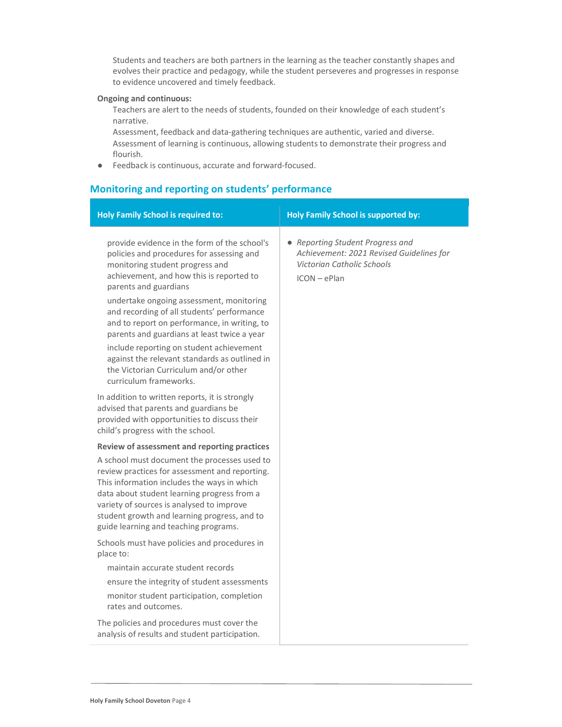Students and teachers are both partners in the learning as the teacher constantly shapes and evolves their practice and pedagogy, while the student perseveres and progresses in response to evidence uncovered and timely feedback.

### Ongoing and continuous:

Teachers are alert to the needs of students, founded on their knowledge of each student's narrative.

Assessment, feedback and data-gathering techniques are authentic, varied and diverse. Assessment of learning is continuous, allowing students to demonstrate their progress and flourish.

● Feedback is continuous, accurate and forward-focused.

### Monitoring and reporting on students' performance

| <b>Holy Family School is required to:</b>                                                                                                                                                                                                                                                                                          | <b>Holy Family School is supported by:</b>                                                                                   |
|------------------------------------------------------------------------------------------------------------------------------------------------------------------------------------------------------------------------------------------------------------------------------------------------------------------------------------|------------------------------------------------------------------------------------------------------------------------------|
| provide evidence in the form of the school's<br>policies and procedures for assessing and<br>monitoring student progress and<br>achievement, and how this is reported to<br>parents and guardians                                                                                                                                  | • Reporting Student Progress and<br>Achievement: 2021 Revised Guidelines for<br>Victorian Catholic Schools<br>$ICON - ePlan$ |
| undertake ongoing assessment, monitoring<br>and recording of all students' performance<br>and to report on performance, in writing, to<br>parents and guardians at least twice a year                                                                                                                                              |                                                                                                                              |
| include reporting on student achievement<br>against the relevant standards as outlined in<br>the Victorian Curriculum and/or other<br>curriculum frameworks.                                                                                                                                                                       |                                                                                                                              |
| In addition to written reports, it is strongly<br>advised that parents and guardians be<br>provided with opportunities to discuss their<br>child's progress with the school.                                                                                                                                                       |                                                                                                                              |
| Review of assessment and reporting practices                                                                                                                                                                                                                                                                                       |                                                                                                                              |
| A school must document the processes used to<br>review practices for assessment and reporting.<br>This information includes the ways in which<br>data about student learning progress from a<br>variety of sources is analysed to improve<br>student growth and learning progress, and to<br>guide learning and teaching programs. |                                                                                                                              |
| Schools must have policies and procedures in<br>place to:                                                                                                                                                                                                                                                                          |                                                                                                                              |
| maintain accurate student records                                                                                                                                                                                                                                                                                                  |                                                                                                                              |
| ensure the integrity of student assessments                                                                                                                                                                                                                                                                                        |                                                                                                                              |
| monitor student participation, completion<br>rates and outcomes.                                                                                                                                                                                                                                                                   |                                                                                                                              |
| The policies and procedures must cover the<br>analysis of results and student participation.                                                                                                                                                                                                                                       |                                                                                                                              |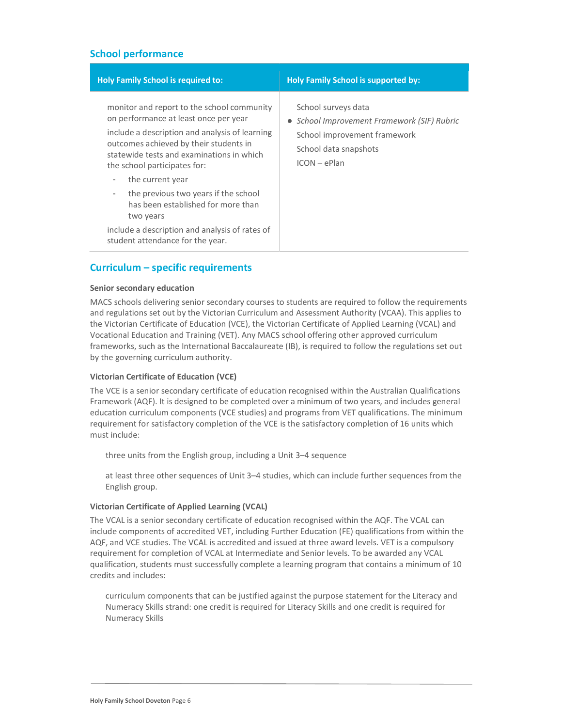### School performance

| <b>Holy Family School is required to:</b>                                                                                                                                                                                                                                                                                                                                                           | <b>Holy Family School is supported by:</b>                                                                                                    |
|-----------------------------------------------------------------------------------------------------------------------------------------------------------------------------------------------------------------------------------------------------------------------------------------------------------------------------------------------------------------------------------------------------|-----------------------------------------------------------------------------------------------------------------------------------------------|
| monitor and report to the school community<br>on performance at least once per year<br>include a description and analysis of learning<br>outcomes achieved by their students in<br>statewide tests and examinations in which<br>the school participates for:<br>the current year<br>$\qquad \qquad$<br>the previous two years if the school<br>$\blacksquare$<br>has been established for more than | School surveys data<br>• School Improvement Framework (SIF) Rubric<br>School improvement framework<br>School data snapshots<br>$ICON - ePlan$ |
| two years<br>include a description and analysis of rates of<br>student attendance for the year.                                                                                                                                                                                                                                                                                                     |                                                                                                                                               |

### Curriculum – specific requirements

### Senior secondary education

MACS schools delivering senior secondary courses to students are required to follow the requirements and regulations set out by the Victorian Curriculum and Assessment Authority (VCAA). This applies to the Victorian Certificate of Education (VCE), the Victorian Certificate of Applied Learning (VCAL) and Vocational Education and Training (VET). Any MACS school offering other approved curriculum frameworks, such as the International Baccalaureate (IB), is required to follow the regulations set out by the governing curriculum authority.

### Victorian Certificate of Education (VCE)

The VCE is a senior secondary certificate of education recognised within the Australian Qualifications Framework (AQF). It is designed to be completed over a minimum of two years, and includes general education curriculum components (VCE studies) and programs from VET qualifications. The minimum requirement for satisfactory completion of the VCE is the satisfactory completion of 16 units which must include:

three units from the English group, including a Unit 3–4 sequence

at least three other sequences of Unit 3–4 studies, which can include further sequences from the English group.

### Victorian Certificate of Applied Learning (VCAL)

The VCAL is a senior secondary certificate of education recognised within the AQF. The VCAL can include components of accredited VET, including Further Education (FE) qualifications from within the AQF, and VCE studies. The VCAL is accredited and issued at three award levels. VET is a compulsory requirement for completion of VCAL at Intermediate and Senior levels. To be awarded any VCAL qualification, students must successfully complete a learning program that contains a minimum of 10 credits and includes:

curriculum components that can be justified against the purpose statement for the Literacy and Numeracy Skills strand: one credit is required for Literacy Skills and one credit is required for Numeracy Skills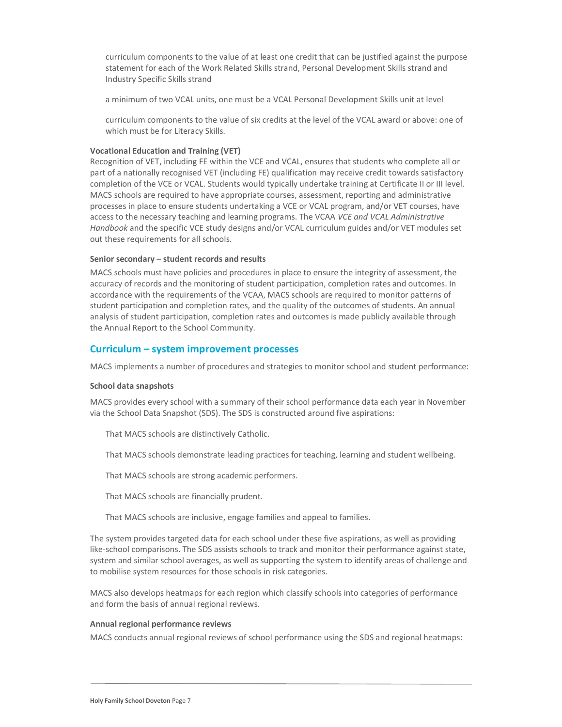curriculum components to the value of at least one credit that can be justified against the purpose statement for each of the Work Related Skills strand, Personal Development Skills strand and Industry Specific Skills strand

a minimum of two VCAL units, one must be a VCAL Personal Development Skills unit at level

curriculum components to the value of six credits at the level of the VCAL award or above: one of which must be for Literacy Skills.

### Vocational Education and Training (VET)

Recognition of VET, including FE within the VCE and VCAL, ensures that students who complete all or part of a nationally recognised VET (including FE) qualification may receive credit towards satisfactory completion of the VCE or VCAL. Students would typically undertake training at Certificate II or III level. MACS schools are required to have appropriate courses, assessment, reporting and administrative processes in place to ensure students undertaking a VCE or VCAL program, and/or VET courses, have access to the necessary teaching and learning programs. The VCAA VCE and VCAL Administrative Handbook and the specific VCE study designs and/or VCAL curriculum guides and/or VET modules set out these requirements for all schools.

#### Senior secondary – student records and results

MACS schools must have policies and procedures in place to ensure the integrity of assessment, the accuracy of records and the monitoring of student participation, completion rates and outcomes. In accordance with the requirements of the VCAA, MACS schools are required to monitor patterns of student participation and completion rates, and the quality of the outcomes of students. An annual analysis of student participation, completion rates and outcomes is made publicly available through the Annual Report to the School Community.

### Curriculum – system improvement processes

MACS implements a number of procedures and strategies to monitor school and student performance:

#### School data snapshots

MACS provides every school with a summary of their school performance data each year in November via the School Data Snapshot (SDS). The SDS is constructed around five aspirations:

That MACS schools are distinctively Catholic.

That MACS schools demonstrate leading practices for teaching, learning and student wellbeing.

That MACS schools are strong academic performers.

That MACS schools are financially prudent.

5. That MACS schools are inclusive, engage families and appeal to families.

The system provides targeted data for each school under these five aspirations, as well as providing like-school comparisons. The SDS assists schools to track and monitor their performance against state, system and similar school averages, as well as supporting the system to identify areas of challenge and to mobilise system resources for those schools in risk categories.

MACS also develops heatmaps for each region which classify schools into categories of performance and form the basis of annual regional reviews.

#### Annual regional performance reviews

MACS conducts annual regional reviews of school performance using the SDS and regional heatmaps: